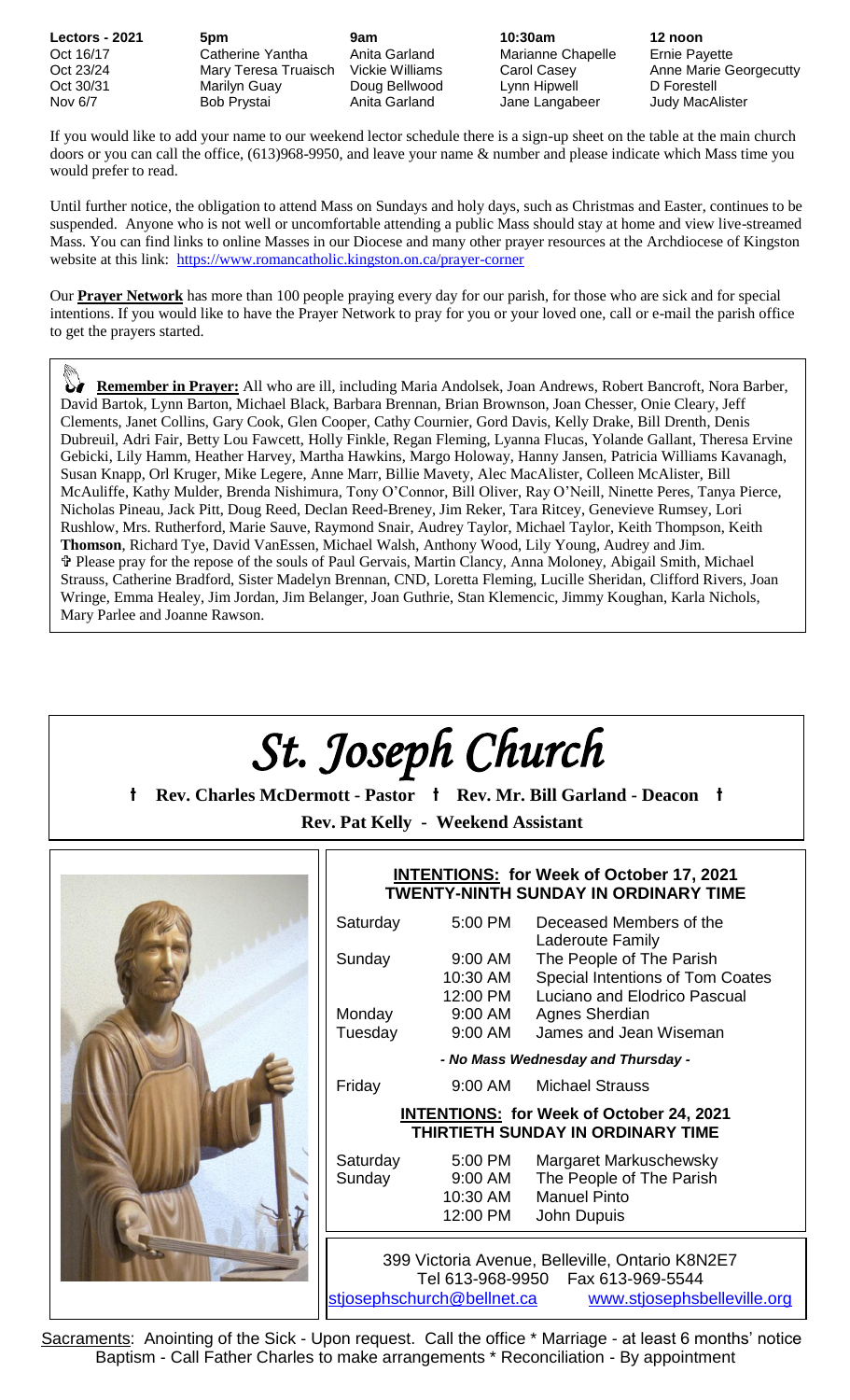| <b>Lectors - 2021</b> | 5pm                  | 9am             | 10:30am           | 12 noon                |
|-----------------------|----------------------|-----------------|-------------------|------------------------|
| Oct 16/17             | Catherine Yantha     | Anita Garland   | Marianne Chapelle | <b>Ernie Payette</b>   |
| Oct 23/24             | Mary Teresa Truaisch | Vickie Williams | Carol Casey       | Anne Marie Georgecutty |
| Oct 30/31             | Marilyn Guay         | Doug Bellwood   | Lynn Hipwell      | D Forestell            |
| Nov 6/7               | Bob Prystai          | Anita Garland   | Jane Langabeer    | Judy MacAlister        |

If you would like to add your name to our weekend lector schedule there is a sign-up sheet on the table at the main church doors or you can call the office, (613)968-9950, and leave your name & number and please indicate which Mass time you would prefer to read.

Until further notice, the obligation to attend Mass on Sundays and holy days, such as Christmas and Easter, continues to be suspended. Anyone who is not well or uncomfortable attending a public Mass should stay at home and view live-streamed Mass. You can find links to online Masses in our Diocese and many other prayer resources at the Archdiocese of Kingston website at this link: <https://www.romancatholic.kingston.on.ca/prayer-corner>

Our **Prayer Network** has more than 100 people praying every day for our parish, for those who are sick and for special intentions. If you would like to have the Prayer Network to pray for you or your loved one, call or e-mail the parish office to get the prayers started.

 **Remember in Prayer:** All who are ill, including Maria Andolsek, Joan Andrews, Robert Bancroft, Nora Barber, David Bartok, Lynn Barton, Michael Black, Barbara Brennan, Brian Brownson, Joan Chesser, Onie Cleary, Jeff Clements, Janet Collins, Gary Cook, Glen Cooper, Cathy Cournier, Gord Davis, Kelly Drake, Bill Drenth, Denis Dubreuil, Adri Fair, Betty Lou Fawcett, Holly Finkle, Regan Fleming, Lyanna Flucas, Yolande Gallant, Theresa Ervine Gebicki, Lily Hamm, Heather Harvey, Martha Hawkins, Margo Holoway, Hanny Jansen, Patricia Williams Kavanagh, Susan Knapp, Orl Kruger, Mike Legere, Anne Marr, Billie Mavety, Alec MacAlister, Colleen McAlister, Bill McAuliffe, Kathy Mulder, Brenda Nishimura, Tony O'Connor, Bill Oliver, Ray O'Neill, Ninette Peres, Tanya Pierce, Nicholas Pineau, Jack Pitt, Doug Reed, Declan Reed-Breney, Jim Reker, Tara Ritcey, Genevieve Rumsey, Lori Rushlow, Mrs. Rutherford, Marie Sauve, Raymond Snair, Audrey Taylor, Michael Taylor, Keith Thompson, Keith **Thomson**, Richard Tye, David VanEssen, Michael Walsh, Anthony Wood, Lily Young, Audrey and Jim. Please pray for the repose of the souls of Paul Gervais, Martin Clancy, Anna Moloney, Abigail Smith, Michael Strauss, Catherine Bradford, Sister Madelyn Brennan, CND, Loretta Fleming, Lucille Sheridan, Clifford Rivers, Joan Wringe, Emma Healey, Jim Jordan, Jim Belanger, Joan Guthrie, Stan Klemencic, Jimmy Koughan, Karla Nichols, Mary Parlee and Joanne Rawson.



Sacraments: Anointing of the Sick - Upon request. Call the office \* Marriage - at least 6 months' notice Baptism - Call Father Charles to make arrangements \* Reconciliation - By appointment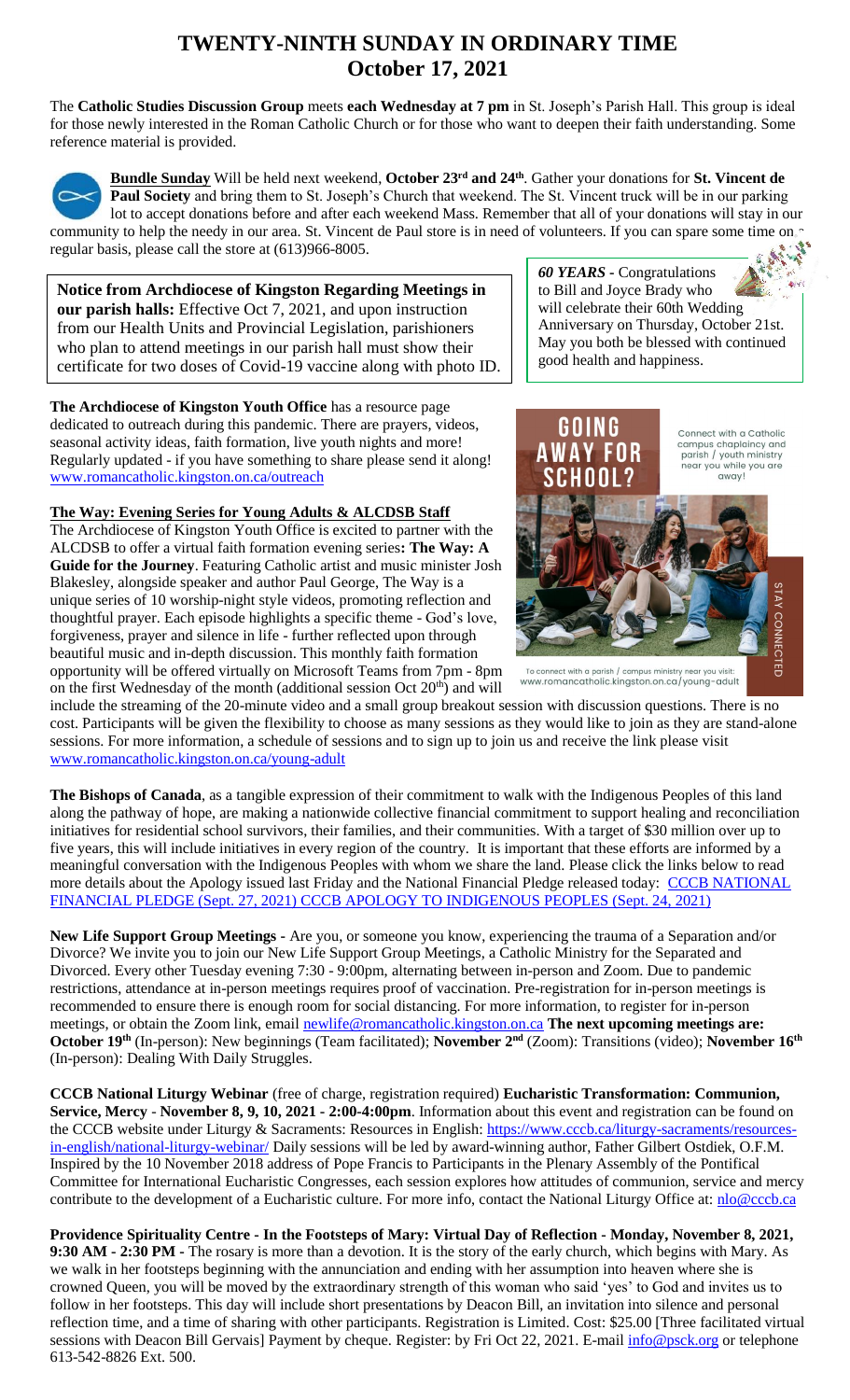# **TWENTY-NINTH SUNDAY IN ORDINARY TIME October 17, 2021**

The **Catholic Studies Discussion Group** meets **each Wednesday at 7 pm** in St. Joseph's Parish Hall. This group is ideal for those newly interested in the Roman Catholic Church or for those who want to deepen their faith understanding. Some reference material is provided.



**Bundle Sunday** Will be held next weekend, **October 23rd and 24th** . Gather your donations for **St. Vincent de Paul Society** and bring them to St. Joseph's Church that weekend. The St. Vincent truck will be in our parking lot to accept donations before and after each weekend Mass. Remember that all of your donations will stay in our community to help the needy in our area. St. Vincent de Paul store is in need of volunteers. If you can spare some time on  $\sim$ regular basis, please call the store at (613)966-8005.

**Notice from Archdiocese of Kingston Regarding Meetings in our parish halls:** Effective Oct 7, 2021, and upon instruction from our Health Units and Provincial Legislation, parishioners who plan to attend meetings in our parish hall must show their certificate for two doses of Covid-19 vaccine along with photo ID.

**The Archdiocese of Kingston Youth Office** has a resource page dedicated to outreach during this pandemic. There are prayers, videos, seasonal activity ideas, faith formation, live youth nights and more! Regularly updated - if you have something to share please send it along! [www.romancatholic.kingston.on.ca/outreach](http://www.romancatholic.kingston.on.ca/outreach)

### **The Way: Evening Series for Young Adults & ALCDSB Staff**

The Archdiocese of Kingston Youth Office is excited to partner with the ALCDSB to offer a virtual faith formation evening series**: The Way: A Guide for the Journey**. Featuring Catholic artist and music minister Josh Blakesley, alongside speaker and author Paul George, The Way is a unique series of 10 worship-night style videos, promoting reflection and thoughtful prayer. Each episode highlights a specific theme - God's love, forgiveness, prayer and silence in life - further reflected upon through beautiful music and in-depth discussion. This monthly faith formation opportunity will be offered virtually on Microsoft Teams from 7pm - 8pm on the first Wednesday of the month (additional session Oct 20<sup>th</sup>) and will





www.romancatholic.kingston.on.ca/young-adult

include the streaming of the 20-minute video and a small group breakout session with discussion questions. There is no cost. Participants will be given the flexibility to choose as many sessions as they would like to join as they are stand-alone sessions. For more information, a schedule of sessions and to sign up to join us and receive the link please visit [www.romancatholic.kingston.on.ca/young-adult](http://www.romancatholic.kingston.on.ca/young-adult)

**The Bishops of Canada**, as a tangible expression of their commitment to walk with the Indigenous Peoples of this land along the pathway of hope, are making a nationwide collective financial commitment to support healing and reconciliation initiatives for residential school survivors, their families, and their communities. With a target of \$30 million over up to five years, this will include initiatives in every region of the country. It is important that these efforts are informed by a meaningful conversation with the Indigenous Peoples with whom we share the land. Please click the links below to read more details about the Apology issued last Friday and the National Financial Pledge released today: CCCB NATIONAL [FINANCIAL PLEDGE \(Sept. 27, 2021\)](https://www.peterboroughdiocese.org/en/resourcesGeneral/Homepage-banners/Residential-School/CCCB/CCCB-News-Release_27-September-2021_EN_FINAL.pdf) [CCCB APOLOGY TO INDIGENOUS PEOPLES \(Sept. 24, 2021\)](https://www.peterboroughdiocese.org/en/resourcesGeneral/Homepage-banners/Residential-School/CCCB/Statement_from_CBC_to_Indigenous-EN.pdf)

**New Life Support Group Meetings -** Are you, or someone you know, experiencing the trauma of a Separation and/or Divorce? We invite you to join our New Life Support Group Meetings, a Catholic Ministry for the Separated and Divorced. Every other Tuesday evening 7:30 - 9:00pm, alternating between in-person and Zoom. Due to pandemic restrictions, attendance at in-person meetings requires proof of vaccination. Pre-registration for in-person meetings is recommended to ensure there is enough room for social distancing. For more information, to register for in-person meetings, or obtain the Zoom link, email [newlife@romancatholic.kingston.on.ca](mailto:newlife@romancatholic.kingston.on.ca) The next upcoming meetings are: **October 19th** (In-person): New beginnings (Team facilitated); **November 2nd** (Zoom): Transitions (video); **November 16th** (In-person): Dealing With Daily Struggles.

**CCCB National Liturgy Webinar** (free of charge, registration required) **Eucharistic Transformation: Communion, Service, Mercy** - **November 8, 9, 10, 2021 - 2:00-4:00pm**. Information about this event and registration can be found on the CCCB website under Liturgy & Sacraments: Resources in English[: https://www.cccb.ca/liturgy-sacraments/resources](https://www.cccb.ca/liturgy-sacraments/resources-in-english/national-liturgy-webinar/)[in-english/national-liturgy-webinar/](https://www.cccb.ca/liturgy-sacraments/resources-in-english/national-liturgy-webinar/) Daily sessions will be led by award-winning author, Father Gilbert Ostdiek, O.F.M. Inspired by the 10 November 2018 address of Pope Francis to Participants in the Plenary Assembly of the Pontifical Committee for International Eucharistic Congresses, each session explores how attitudes of communion, service and mercy contribute to the development of a Eucharistic culture. For more info, contact the National Liturgy Office at: [nlo@cccb.ca](mailto:nlo@cccb.ca)

**Providence Spirituality Centre - In the Footsteps of Mary: Virtual Day of Reflection - Monday, November 8, 2021, 9:30 AM - 2:30 PM -** The rosary is more than a devotion. It is the story of the early church, which begins with Mary. As we walk in her footsteps beginning with the annunciation and ending with her assumption into heaven where she is crowned Queen, you will be moved by the extraordinary strength of this woman who said 'yes' to God and invites us to follow in her footsteps. This day will include short presentations by Deacon Bill, an invitation into silence and personal reflection time, and a time of sharing with other participants. Registration is Limited. Cost: \$25.00 [Three facilitated virtual sessions with Deacon Bill Gervais] Payment by cheque. Register: by Fri Oct 22, 2021. E-mail  $\frac{info@psck.org}{info@psck.org}$  or telephone 613-542-8826 Ext. 500.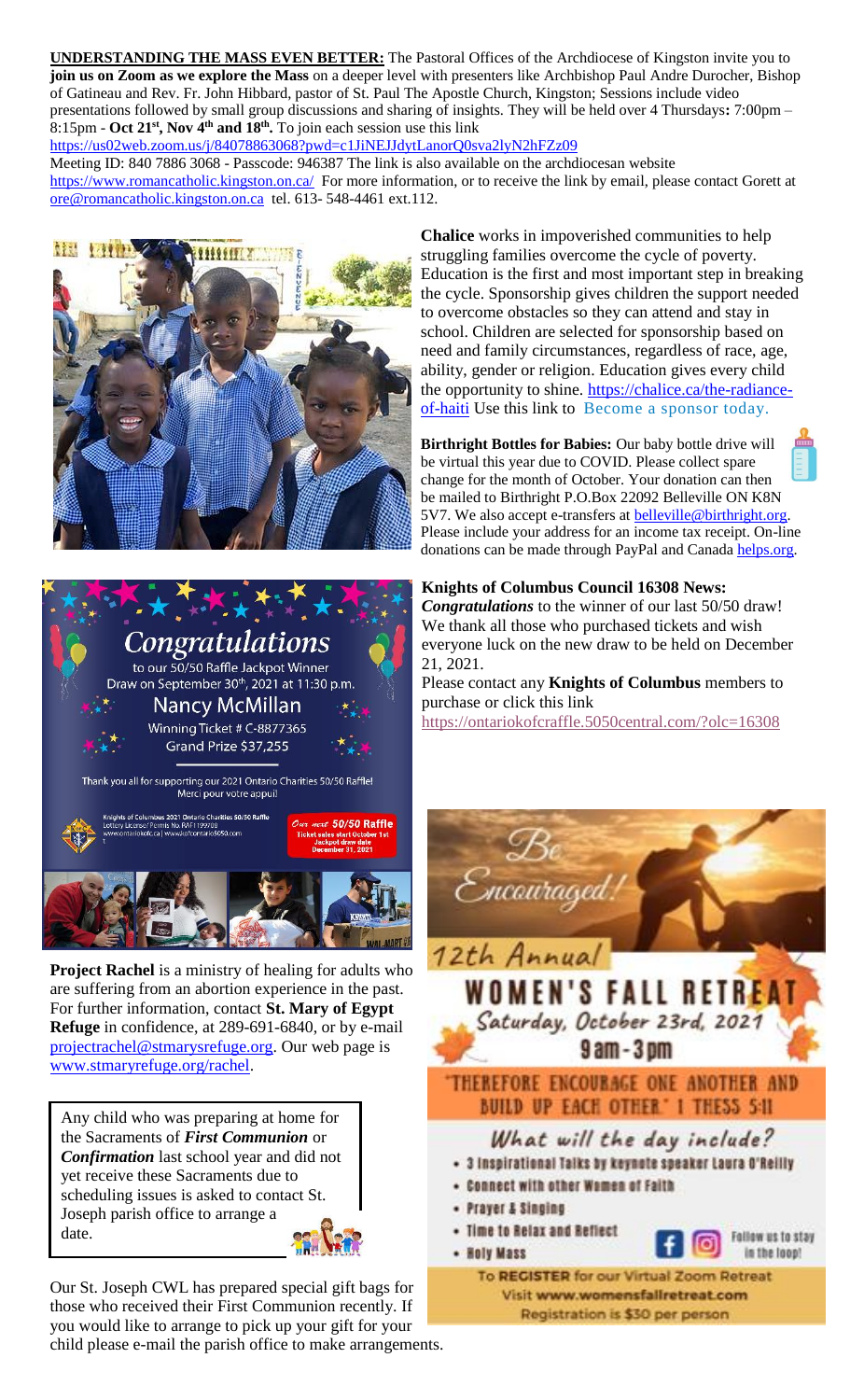**UNDERSTANDING THE MASS EVEN BETTER:** The Pastoral Offices of the Archdiocese of Kingston invite you to **join us on Zoom as we explore the Mass** on a deeper level with presenters like Archbishop Paul Andre Durocher, Bishop of Gatineau and Rev. Fr. John Hibbard, pastor of St. Paul The Apostle Church, Kingston; Sessions include video presentations followed by small group discussions and sharing of insights. They will be held over 4 Thursdays**:** 7:00pm – 8:15pm - **Oct 21st, Nov 4th and 18th .** To join each session use this link

<https://us02web.zoom.us/j/84078863068?pwd=c1JiNEJJdytLanorQ0sva2lyN2hFZz09>

Meeting ID: 840 7886 3068 - Passcode: 946387 The link is also available on the archdiocesan website <https://www.romancatholic.kingston.on.ca/>For more information, or to receive the link by email, please contact Gorett at [ore@romancatholic.kingston.on.ca](mailto:ore@romancatholic.kingston.on.ca) tel. 613- 548-4461 ext.112.





**Project Rachel** is a ministry of healing for adults who are suffering from an abortion experience in the past. For further information, contact **St. Mary of Egypt Refuge** in confidence, at 289-691-6840, or by e-mail [projectrachel@stmarysrefuge.org.](mailto:projectrachel@stmarysrefuge.org) Our web page is [www.stmaryrefuge.org/rachel.](http://www.stmaryrefuge.org/rachel)

Any child who was preparing at home for the Sacraments of *First Communion* or *Confirmation* last school year and did not yet receive these Sacraments due to scheduling issues is asked to contact St. Joseph parish office to arrange a date.

Our St. Joseph CWL has prepared special gift bags for those who received their First Communion recently. If you would like to arrange to pick up your gift for your child please e-mail the parish office to make arrangements.

**Chalice** works in impoverished communities to help struggling families overcome the cycle of poverty. Education is the first and most important step in breaking the cycle. Sponsorship gives children the support needed to overcome obstacles so they can attend and stay in school. Children are selected for sponsorship based on need and family circumstances, regardless of race, age, ability, gender or religion. Education gives every child the opportunity to shine. [https://chalice.ca/the-radiance](https://chalice.ca/the-radiance-of-haiti)[of-haiti](https://chalice.ca/the-radiance-of-haiti) Use this link to [Become a sponsor today.](https://www.chalice.ca/sponsor-a-child-now?search=profile_list&task=search)

**Birthright Bottles for Babies:** Our baby bottle drive will be virtual this year due to COVID. Please collect spare change for the month of October. Your donation can then be mailed to Birthright P.O.Box 22092 Belleville ON K8N 5V7. We also accept e-transfers at **belleville@birthright.org**. Please include your address for an income tax receipt. On-line donations can be made through PayPal and Canada [helps.org.](http://helps.org/)

### **Knights of Columbus Council 16308 News:**

*Congratulations* to the winner of our last 50/50 draw! We thank all those who purchased tickets and wish everyone luck on the new draw to be held on December 21, 2021.

Please contact any **Knights of Columbus** members to purchase or click this link <https://ontariokofcraffle.5050central.com/?olc=16308>